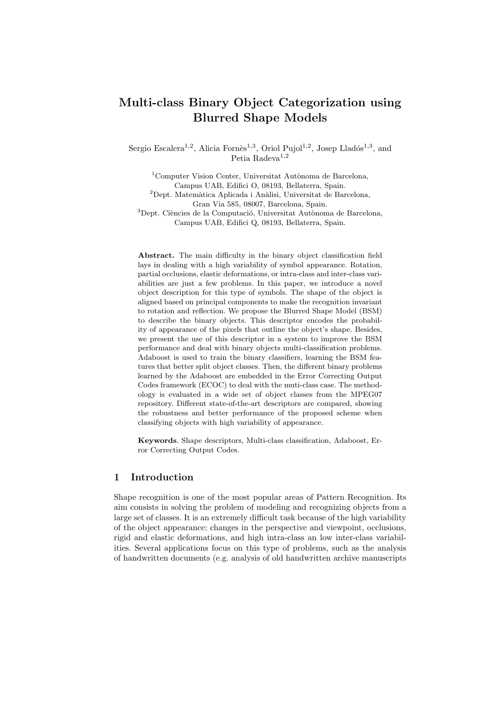# Multi-class Binary Object Categorization using Blurred Shape Models

Sergio Escalera<sup>1,2</sup>, Alicia Fornès<sup>1,3</sup>, Oriol Pujol<sup>1,2</sup>, Josep Lladós<sup>1,3</sup>, and Petia Radeva<sup>1,2</sup>

 $1$ Computer Vision Center, Universitat Autònoma de Barcelona, Campus UAB, Edifici O, 08193, Bellaterra, Spain.  $2$ Dept. Matemàtica Aplicada i Anàlisi, Universitat de Barcelona, Gran Via 585, 08007, Barcelona, Spain.  $3$ Dept. Ciències de la Computació, Universitat Autònoma de Barcelona, Campus UAB, Edifici Q, 08193, Bellaterra, Spain.

Abstract. The main difficulty in the binary object classification field lays in dealing with a high variability of symbol appearance. Rotation, partial occlusions, elastic deformations, or intra-class and inter-class variabilities are just a few problems. In this paper, we introduce a novel object description for this type of symbols. The shape of the object is aligned based on principal components to make the recognition invariant to rotation and reflection. We propose the Blurred Shape Model (BSM) to describe the binary objects. This descriptor encodes the probability of appearance of the pixels that outline the object's shape. Besides, we present the use of this descriptor in a system to improve the BSM performance and deal with binary objects multi-classification problems. Adaboost is used to train the binary classifiers, learning the BSM features that better split object classes. Then, the different binary problems learned by the Adaboost are embedded in the Error Correcting Output Codes framework (ECOC) to deal with the muti-class case. The methodology is evaluated in a wide set of object classes from the MPEG07 repository. Different state-of-the-art descriptors are compared, showing the robustness and better performance of the proposed scheme when classifying objects with high variability of appearance.

Keywords. Shape descriptors, Multi-class classification, Adaboost, Error Correcting Output Codes.

# 1 Introduction

Shape recognition is one of the most popular areas of Pattern Recognition. Its aim consists in solving the problem of modeling and recognizing objects from a large set of classes. It is an extremely difficult task because of the high variability of the object appearance: changes in the perspective and viewpoint, occlusions, rigid and elastic deformations, and high intra-class an low inter-class variabilities. Several applications focus on this type of problems, such as the analysis of handwritten documents (e.g. analysis of old handwritten archive manuscripts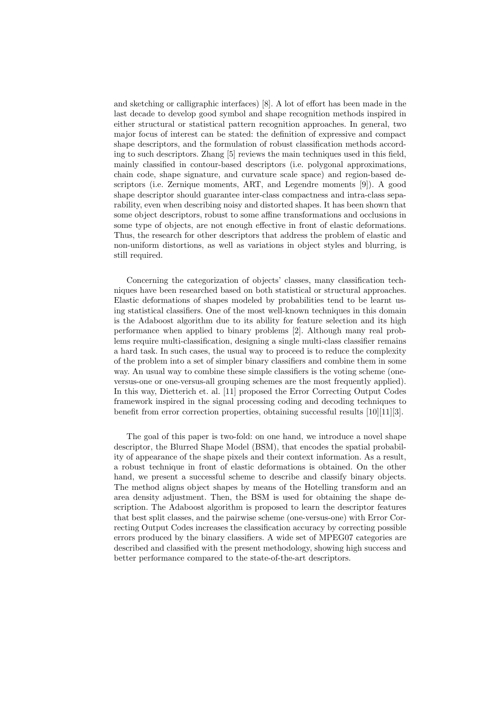and sketching or calligraphic interfaces) [8]. A lot of effort has been made in the last decade to develop good symbol and shape recognition methods inspired in either structural or statistical pattern recognition approaches. In general, two major focus of interest can be stated: the definition of expressive and compact shape descriptors, and the formulation of robust classification methods according to such descriptors. Zhang [5] reviews the main techniques used in this field, mainly classified in contour-based descriptors (i.e. polygonal approximations, chain code, shape signature, and curvature scale space) and region-based descriptors (i.e. Zernique moments, ART, and Legendre moments [9]). A good shape descriptor should guarantee inter-class compactness and intra-class separability, even when describing noisy and distorted shapes. It has been shown that some object descriptors, robust to some affine transformations and occlusions in some type of objects, are not enough effective in front of elastic deformations. Thus, the research for other descriptors that address the problem of elastic and non-uniform distortions, as well as variations in object styles and blurring, is still required.

Concerning the categorization of objects' classes, many classification techniques have been researched based on both statistical or structural approaches. Elastic deformations of shapes modeled by probabilities tend to be learnt using statistical classifiers. One of the most well-known techniques in this domain is the Adaboost algorithm due to its ability for feature selection and its high performance when applied to binary problems [2]. Although many real problems require multi-classification, designing a single multi-class classifier remains a hard task. In such cases, the usual way to proceed is to reduce the complexity of the problem into a set of simpler binary classifiers and combine them in some way. An usual way to combine these simple classifiers is the voting scheme (oneversus-one or one-versus-all grouping schemes are the most frequently applied). In this way, Dietterich et. al. [11] proposed the Error Correcting Output Codes framework inspired in the signal processing coding and decoding techniques to benefit from error correction properties, obtaining successful results [10][11][3].

The goal of this paper is two-fold: on one hand, we introduce a novel shape descriptor, the Blurred Shape Model (BSM), that encodes the spatial probability of appearance of the shape pixels and their context information. As a result, a robust technique in front of elastic deformations is obtained. On the other hand, we present a successful scheme to describe and classify binary objects. The method aligns object shapes by means of the Hotelling transform and an area density adjustment. Then, the BSM is used for obtaining the shape description. The Adaboost algorithm is proposed to learn the descriptor features that best split classes, and the pairwise scheme (one-versus-one) with Error Correcting Output Codes increases the classification accuracy by correcting possible errors produced by the binary classifiers. A wide set of MPEG07 categories are described and classified with the present methodology, showing high success and better performance compared to the state-of-the-art descriptors.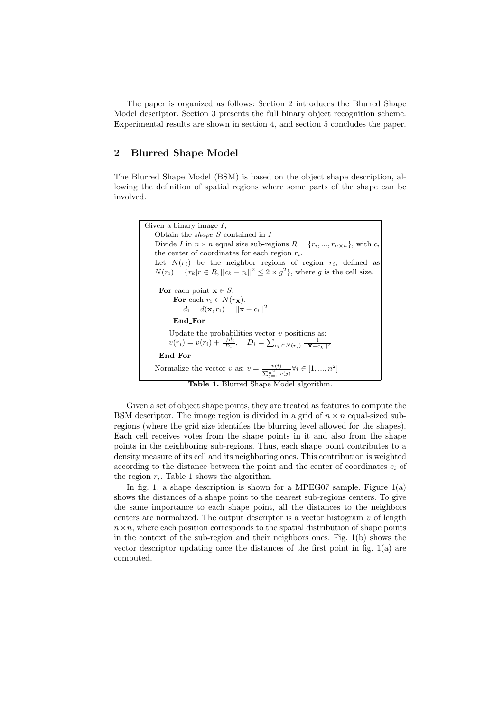The paper is organized as follows: Section 2 introduces the Blurred Shape Model descriptor. Section 3 presents the full binary object recognition scheme. Experimental results are shown in section 4, and section 5 concludes the paper.

# 2 Blurred Shape Model

The Blurred Shape Model (BSM) is based on the object shape description, allowing the definition of spatial regions where some parts of the shape can be involved.

> Given a binary image  $I$ , Obtain the shape S contained in I Divide I in  $n \times n$  equal size sub-regions  $R = \{r_i, ..., r_{n \times n}\}\$ , with  $c_i$ the center of coordinates for each region  $r_i$ . Let  $N(r_i)$  be the neighbor regions of region  $r_i$ , defined as  $N(r_i) = \{r_k | r \in R, ||c_k - c_i||^2 \leq 2 \times g^2\}$ , where g is the cell size. For each point  $\mathbf{x} \in S$ , For each  $r_i \in N(r_{\mathbf{X}})$ ,  $d_i = d(\mathbf{x}, r_i) = ||\mathbf{x} - c_i||^2$ End For Update the probabilities vector  $v$  positions as: Update the probabilities vector<br> $v(r_i) = v(r_i) + \frac{1/d_i}{D_i}, \quad D_i = \sum$  $c_k \in N(r_i)$   $\frac{1}{||\mathbf{X} - c_k||^2}$ End For Normalize the vector v as:  $v = \frac{v(i)}{\sum_{j=1}^{n^2} v(j)} \forall i \in [1, ..., n^2]$

Table 1. Blurred Shape Model algorithm.

Given a set of object shape points, they are treated as features to compute the BSM descriptor. The image region is divided in a grid of  $n \times n$  equal-sized subregions (where the grid size identifies the blurring level allowed for the shapes). Each cell receives votes from the shape points in it and also from the shape points in the neighboring sub-regions. Thus, each shape point contributes to a density measure of its cell and its neighboring ones. This contribution is weighted according to the distance between the point and the center of coordinates  $c_i$  of the region  $r_i$ . Table 1 shows the algorithm.

In fig. 1, a shape description is shown for a MPEG07 sample. Figure  $1(a)$ shows the distances of a shape point to the nearest sub-regions centers. To give the same importance to each shape point, all the distances to the neighbors centers are normalized. The output descriptor is a vector histogram  $v$  of length  $n \times n$ , where each position corresponds to the spatial distribution of shape points in the context of the sub-region and their neighbors ones. Fig. 1(b) shows the vector descriptor updating once the distances of the first point in fig. 1(a) are computed.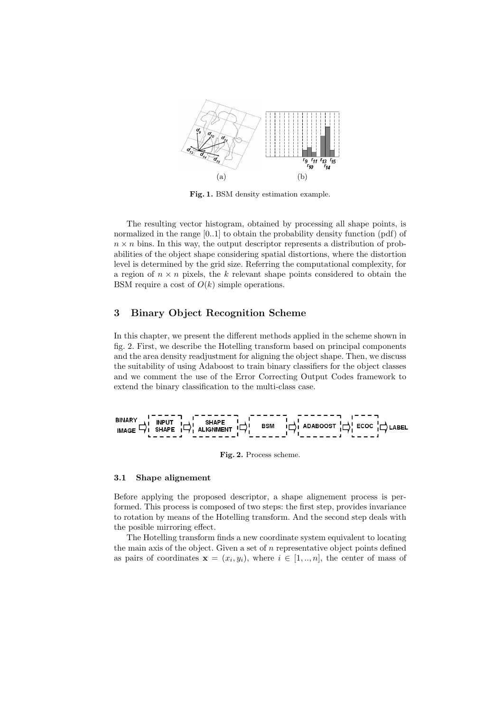

Fig. 1. BSM density estimation example.

The resulting vector histogram, obtained by processing all shape points, is normalized in the range [0..1] to obtain the probability density function (pdf) of  $n \times n$  bins. In this way, the output descriptor represents a distribution of probabilities of the object shape considering spatial distortions, where the distortion level is determined by the grid size. Referring the computational complexity, for a region of  $n \times n$  pixels, the k relevant shape points considered to obtain the BSM require a cost of  $O(k)$  simple operations.

## 3 Binary Object Recognition Scheme

In this chapter, we present the different methods applied in the scheme shown in fig. 2. First, we describe the Hotelling transform based on principal components and the area density readjustment for aligning the object shape. Then, we discuss the suitability of using Adaboost to train binary classifiers for the object classes and we comment the use of the Error Correcting Output Codes framework to extend the binary classification to the multi-class case.



Fig. 2. Process scheme.

#### 3.1 Shape alignement

Before applying the proposed descriptor, a shape alignement process is performed. This process is composed of two steps: the first step, provides invariance to rotation by means of the Hotelling transform. And the second step deals with the posible mirroring effect.

The Hotelling transform finds a new coordinate system equivalent to locating the main axis of the object. Given a set of  $n$  representative object points defined as pairs of coordinates  $\mathbf{x} = (x_i, y_i)$ , where  $i \in [1, ..., n]$ , the center of mass of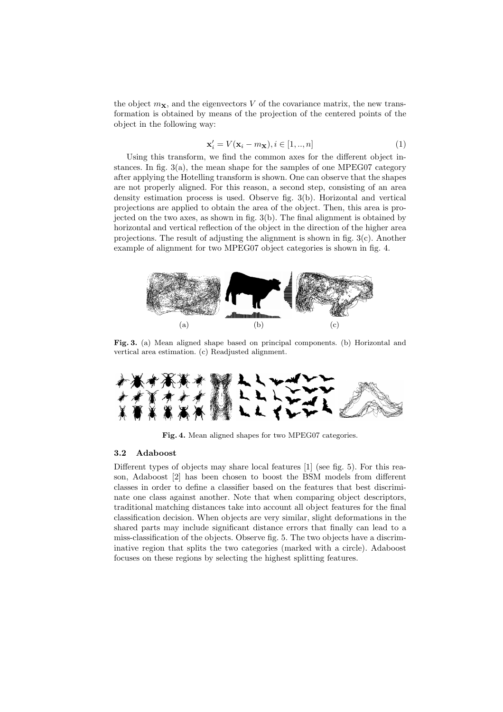the object  $m_{\mathbf{x}}$ , and the eigenvectors V of the covariance matrix, the new transformation is obtained by means of the projection of the centered points of the object in the following way:

$$
\mathbf{x}'_i = V(\mathbf{x}_i - m_\mathbf{X}), i \in [1, ..., n]
$$
 (1)

Using this transform, we find the common axes for the different object instances. In fig.  $3(a)$ , the mean shape for the samples of one MPEG07 category after applying the Hotelling transform is shown. One can observe that the shapes are not properly aligned. For this reason, a second step, consisting of an area density estimation process is used. Observe fig. 3(b). Horizontal and vertical projections are applied to obtain the area of the object. Then, this area is projected on the two axes, as shown in fig. 3(b). The final alignment is obtained by horizontal and vertical reflection of the object in the direction of the higher area projections. The result of adjusting the alignment is shown in fig. 3(c). Another example of alignment for two MPEG07 object categories is shown in fig. 4.



Fig. 3. (a) Mean aligned shape based on principal components. (b) Horizontal and vertical area estimation. (c) Readjusted alignment.



Fig. 4. Mean aligned shapes for two MPEG07 categories.

#### 3.2 Adaboost

Different types of objects may share local features [1] (see fig. 5). For this reason, Adaboost [2] has been chosen to boost the BSM models from different classes in order to define a classifier based on the features that best discriminate one class against another. Note that when comparing object descriptors, traditional matching distances take into account all object features for the final classification decision. When objects are very similar, slight deformations in the shared parts may include significant distance errors that finally can lead to a miss-classification of the objects. Observe fig. 5. The two objects have a discriminative region that splits the two categories (marked with a circle). Adaboost focuses on these regions by selecting the highest splitting features.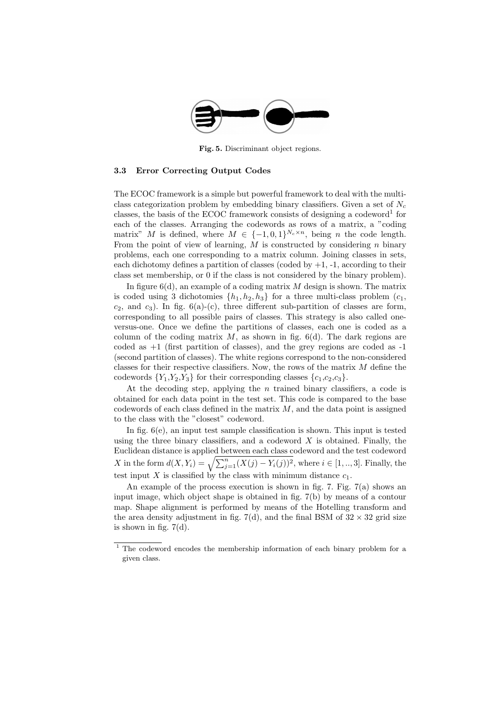

Fig. 5. Discriminant object regions.

#### 3.3 Error Correcting Output Codes

The ECOC framework is a simple but powerful framework to deal with the multiclass categorization problem by embedding binary classifiers. Given a set of  $N_c$ classes, the basis of the ECOC framework consists of designing a codeword<sup>1</sup> for each of the classes. Arranging the codewords as rows of a matrix, a "coding matrix" M is defined, where  $M \in \{-1,0,1\}^{N_c \times n}$ , being n the code length. From the point of view of learning,  $\tilde{M}$  is constructed by considering  $n$  binary problems, each one corresponding to a matrix column. Joining classes in sets, each dichotomy defines a partition of classes (coded by  $+1$ ,  $-1$ , according to their class set membership, or 0 if the class is not considered by the binary problem).

In figure  $6(d)$ , an example of a coding matrix M design is shown. The matrix is coded using 3 dichotomies  $\{h_1, h_2, h_3\}$  for a three multi-class problem  $(c_1,$  $c_2$ , and  $c_3$ ). In fig. 6(a)-(c), three different sub-partition of classes are form, corresponding to all possible pairs of classes. This strategy is also called oneversus-one. Once we define the partitions of classes, each one is coded as a column of the coding matrix  $M$ , as shown in fig.  $6(d)$ . The dark regions are coded as  $+1$  (first partition of classes), and the grey regions are coded as  $-1$ (second partition of classes). The white regions correspond to the non-considered classes for their respective classifiers. Now, the rows of the matrix  $M$  define the codewords  ${Y_1, Y_2, Y_3}$  for their corresponding classes  ${c_1, c_2, c_3}$ .

At the decoding step, applying the n trained binary classifiers, a code is obtained for each data point in the test set. This code is compared to the base codewords of each class defined in the matrix  $M$ , and the data point is assigned to the class with the "closest" codeword.

In fig. 6(e), an input test sample classification is shown. This input is tested using the three binary classifiers, and a codeword  $X$  is obtained. Finally, the Euclidean distance is applied between each class codeword and the test codeword Euchdean distance is applied between each class codeword and the test codeword X in the form  $d(X,Y_i) = \sqrt{\sum_{j=1}^n (X(j) - Y_i(j))^2}$ , where  $i \in [1,..,3]$ . Finally, the test input X is classified by the class with minimum distance  $c_1$ .

An example of the process execution is shown in fig. 7. Fig. 7(a) shows an input image, which object shape is obtained in fig. 7(b) by means of a contour map. Shape alignment is performed by means of the Hotelling transform and the area density adjustment in fig. 7(d), and the final BSM of  $32 \times 32$  grid size is shown in fig.  $7(d)$ .

<sup>&</sup>lt;sup>1</sup> The codeword encodes the membership information of each binary problem for a given class.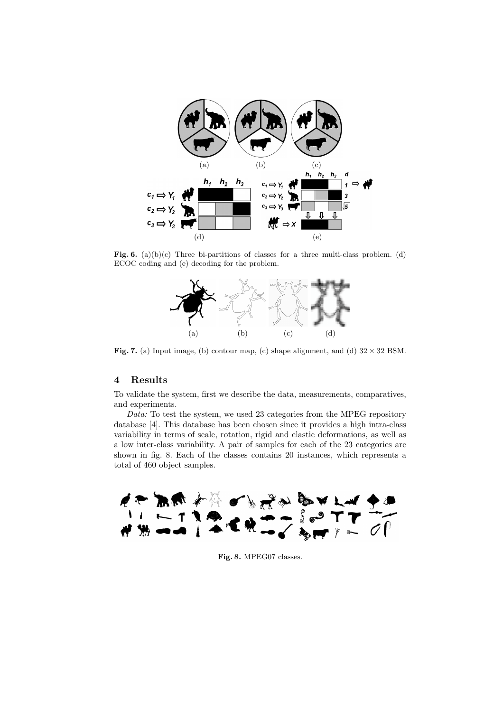

Fig. 6. (a)(b)(c) Three bi-partitions of classes for a three multi-class problem. (d) ECOC coding and (e) decoding for the problem.



Fig. 7. (a) Input image, (b) contour map, (c) shape alignment, and (d)  $32 \times 32$  BSM.

### 4 Results

To validate the system, first we describe the data, measurements, comparatives, and experiments.

Data: To test the system, we used 23 categories from the MPEG repository database [4]. This database has been chosen since it provides a high intra-class variability in terms of scale, rotation, rigid and elastic deformations, as well as a low inter-class variability. A pair of samples for each of the 23 categories are shown in fig. 8. Each of the classes contains 20 instances, which represents a total of 460 object samples.



Fig. 8. MPEG07 classes.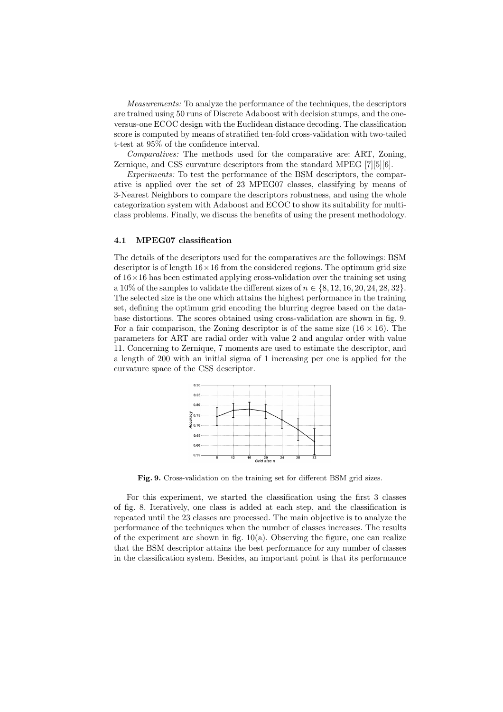Measurements: To analyze the performance of the techniques, the descriptors are trained using 50 runs of Discrete Adaboost with decision stumps, and the oneversus-one ECOC design with the Euclidean distance decoding. The classification score is computed by means of stratified ten-fold cross-validation with two-tailed t-test at 95% of the confidence interval.

Comparatives: The methods used for the comparative are: ART, Zoning, Zernique, and CSS curvature descriptors from the standard MPEG [7][5][6].

Experiments: To test the performance of the BSM descriptors, the comparative is applied over the set of 23 MPEG07 classes, classifying by means of 3-Nearest Neighbors to compare the descriptors robustness, and using the whole categorization system with Adaboost and ECOC to show its suitability for multiclass problems. Finally, we discuss the benefits of using the present methodology.

## 4.1 MPEG07 classification

The details of the descriptors used for the comparatives are the followings: BSM descriptor is of length  $16 \times 16$  from the considered regions. The optimum grid size of  $16\times16$  has been estimated applying cross-validation over the training set using a 10% of the samples to validate the different sizes of  $n \in \{8, 12, 16, 20, 24, 28, 32\}.$ The selected size is the one which attains the highest performance in the training set, defining the optimum grid encoding the blurring degree based on the database distortions. The scores obtained using cross-validation are shown in fig. 9. For a fair comparison, the Zoning descriptor is of the same size  $(16 \times 16)$ . The parameters for ART are radial order with value 2 and angular order with value 11. Concerning to Zernique, 7 moments are used to estimate the descriptor, and a length of 200 with an initial sigma of 1 increasing per one is applied for the curvature space of the CSS descriptor.



Fig. 9. Cross-validation on the training set for different BSM grid sizes.

For this experiment, we started the classification using the first 3 classes of fig. 8. Iteratively, one class is added at each step, and the classification is repeated until the 23 classes are processed. The main objective is to analyze the performance of the techniques when the number of classes increases. The results of the experiment are shown in fig.  $10(a)$ . Observing the figure, one can realize that the BSM descriptor attains the best performance for any number of classes in the classification system. Besides, an important point is that its performance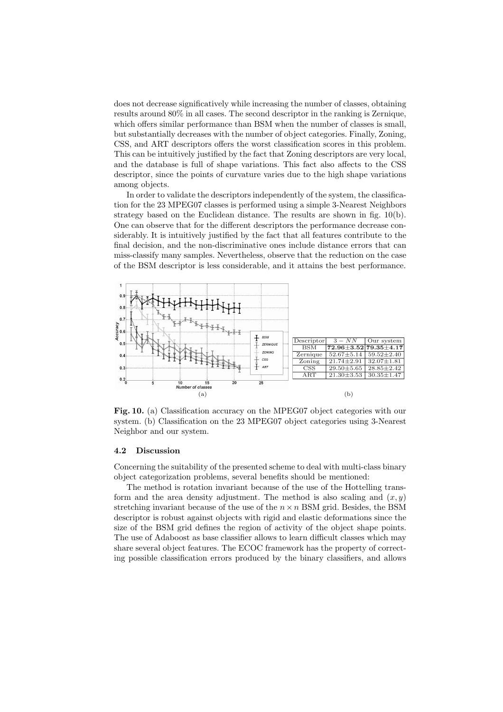does not decrease significatively while increasing the number of classes, obtaining results around 80% in all cases. The second descriptor in the ranking is Zernique, which offers similar performance than BSM when the number of classes is small, but substantially decreases with the number of object categories. Finally, Zoning, CSS, and ART descriptors offers the worst classification scores in this problem. This can be intuitively justified by the fact that Zoning descriptors are very local, and the database is full of shape variations. This fact also affects to the CSS descriptor, since the points of curvature varies due to the high shape variations among objects.

In order to validate the descriptors independently of the system, the classification for the 23 MPEG07 classes is performed using a simple 3-Nearest Neighbors strategy based on the Euclidean distance. The results are shown in fig. 10(b). One can observe that for the different descriptors the performance decrease considerably. It is intuitively justified by the fact that all features contribute to the final decision, and the non-discriminative ones include distance errors that can miss-classify many samples. Nevertheless, observe that the reduction on the case of the BSM descriptor is less considerable, and it attains the best performance.



Fig. 10. (a) Classification accuracy on the MPEG07 object categories with our system. (b) Classification on the 23 MPEG07 object categories using 3-Nearest Neighbor and our system.

#### 4.2 Discussion

Concerning the suitability of the presented scheme to deal with multi-class binary object categorization problems, several benefits should be mentioned:

The method is rotation invariant because of the use of the Hottelling transform and the area density adjustment. The method is also scaling and  $(x, y)$ stretching invariant because of the use of the  $n \times n$  BSM grid. Besides, the BSM descriptor is robust against objects with rigid and elastic deformations since the size of the BSM grid defines the region of activity of the object shape points. The use of Adaboost as base classifier allows to learn difficult classes which may share several object features. The ECOC framework has the property of correcting possible classification errors produced by the binary classifiers, and allows